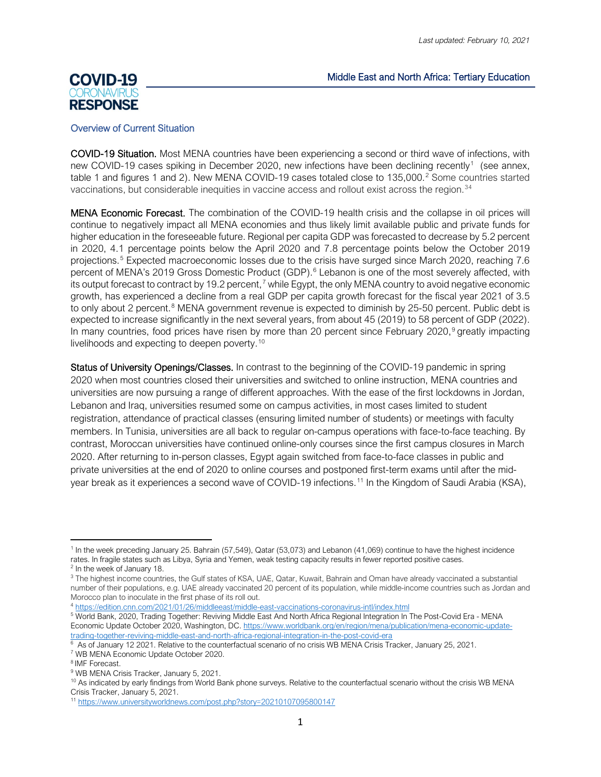### Middle East and North Africa: Tertiary Education

# **COVID-19 RESPONSE**

#### Overview of Current Situation

COVID-19 Situation. Most MENA countries have been experiencing a second or third wave of infections, with new COVID-[1](#page-0-0)9 cases spiking in December 2020, new infections have been declining recently<sup>1</sup> (see annex, table 1 and figures 1 and [2](#page-0-1)). New MENA COVID-19 cases totaled close to 135,000.<sup>2</sup> Some countries started vaccinations, but considerable inequities in vaccine access and rollout exist across the region.<sup>[3](#page-0-2)[4](#page-0-3)</sup>

MENA Economic Forecast. The combination of the COVID-19 health crisis and the collapse in oil prices will continue to negatively impact all MENA economies and thus likely limit available public and private funds for higher education in the foreseeable future. Regional per capita GDP was forecasted to decrease by 5.2 percent in 2020, 4.1 percentage points below the April 2020 and 7.8 percentage points below the October 2019 projections.[5](#page-0-4) Expected macroeconomic losses due to the crisis have surged since March 2020, reaching 7.6 percent of MENA's 2019 Gross Domestic Product (GDP).<sup>[6](#page-0-5)</sup> Lebanon is one of the most severely affected, with its output forecast to contract by 19.2 percent,<sup>[7](#page-0-6)</sup> while Egypt, the only MENA country to avoid negative economic growth, has experienced a decline from a real GDP per capita growth forecast for the fiscal year 2021 of 3.5 to only about 2 percent.<sup>[8](#page-0-7)</sup> MENA government revenue is expected to diminish by 25-50 percent. Public debt is expected to increase significantly in the next several years, from about 45 (2019) to 58 percent of GDP (2022). In many countries, food prices have risen by more than 20 percent since February 2020,<sup>[9](#page-0-8)</sup> greatly impacting livelihoods and expecting to deepen poverty.[10](#page-0-9)

Status of University Openings/Classes. In contrast to the beginning of the COVID-19 pandemic in spring 2020 when most countries closed their universities and switched to online instruction, MENA countries and universities are now pursuing a range of different approaches. With the ease of the first lockdowns in Jordan, Lebanon and Iraq, universities resumed some on campus activities, in most cases limited to student registration, attendance of practical classes (ensuring limited number of students) or meetings with faculty members. In Tunisia, universities are all back to regular on-campus operations with face-to-face teaching. By contrast, Moroccan universities have continued online-only courses since the first campus closures in March 2020. After returning to in-person classes, Egypt again switched from face-to-face classes in public and private universities at the end of 2020 to online courses and postponed first-term exams until after the midyear break as it experiences a second wave of COVID-19 infections. [11](#page-0-10) In the Kingdom of Saudi Arabia (KSA),

<sup>4</sup> <https://edition.cnn.com/2021/01/26/middleeast/middle-east-vaccinations-coronavirus-intl/index.html>

<span id="page-0-4"></span><span id="page-0-3"></span><sup>5</sup> World Bank, 2020, Trading Together: Reviving Middle East And North Africa Regional Integration In The Post-Covid Era - MENA Economic Update October 2020, Washington, DC[. https://www.worldbank.org/en/region/mena/publication/mena-economic-update](https://www.worldbank.org/en/region/mena/publication/mena-economic-update-trading-together-reviving-middle-east-and-north-africa-regional-integration-in-the-post-covid-era)[trading-together-reviving-middle-east-and-north-africa-regional-integration-in-the-post-covid-era](https://www.worldbank.org/en/region/mena/publication/mena-economic-update-trading-together-reviving-middle-east-and-north-africa-regional-integration-in-the-post-covid-era)

<span id="page-0-0"></span><sup>1</sup> In the week preceding January 25. Bahrain (57,549), Qatar (53,073) and Lebanon (41,069) continue to have the highest incidence rates. In fragile states such as Libya, Syria and Yemen, weak testing capacity results in fewer reported positive cases.

<span id="page-0-1"></span><sup>2</sup> In the week of January 18.

<span id="page-0-2"></span><sup>&</sup>lt;sup>3</sup> The highest income countries, the Gulf states of KSA, UAE, Qatar, Kuwait, Bahrain and Oman have already vaccinated a substantial number of their populations, e.g. UAE already vaccinated 20 percent of its population, while middle-income countries such as Jordan and Morocco plan to inoculate in the first phase of its roll out.

<span id="page-0-5"></span><sup>&</sup>lt;sup>6</sup> As of January 12 2021. Relative to the counterfactual scenario of no crisis WB MENA Crisis Tracker, January 25, 2021.

<span id="page-0-6"></span><sup>7</sup> WB MENA Economic Update October 2020.

<span id="page-0-7"></span><sup>8</sup> IMF Forecast.

<span id="page-0-8"></span><sup>&</sup>lt;sup>9</sup> WB MENA Crisis Tracker, January 5, 2021.

<span id="page-0-9"></span><sup>&</sup>lt;sup>10</sup> As indicated by early findings from World Bank phone surveys. Relative to the counterfactual scenario without the crisis WB MENA Crisis Tracker, January 5, 2021.

<span id="page-0-10"></span><sup>11</sup> <https://www.universityworldnews.com/post.php?story=20210107095800147>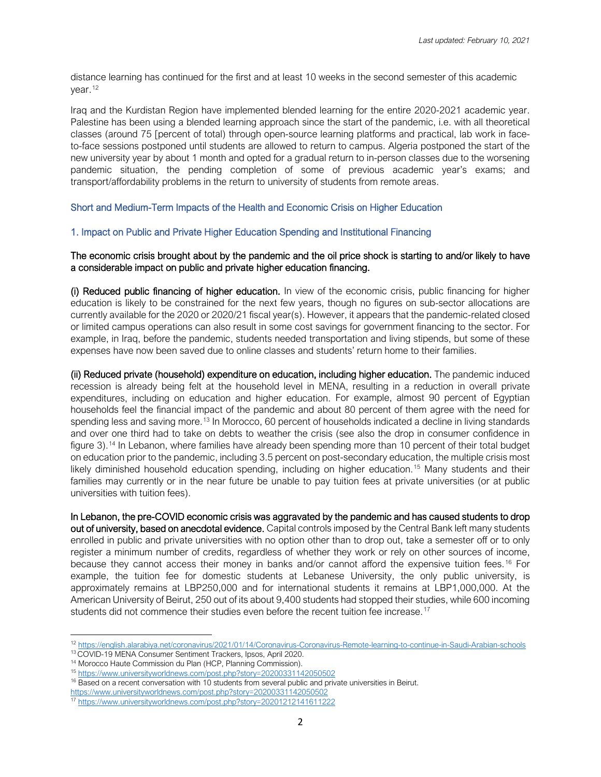distance learning has continued for the first and at least 10 weeks in the second semester of this academic year. [12](#page-1-0)

Iraq and the Kurdistan Region have implemented blended learning for the entire 2020-2021 academic year. Palestine has been using a blended learning approach since the start of the pandemic, i.e. with all theoretical classes (around 75 [percent of total) through open-source learning platforms and practical, lab work in faceto-face sessions postponed until students are allowed to return to campus. Algeria postponed the start of the new university year by about 1 month and opted for a gradual return to in-person classes due to the worsening pandemic situation, the pending completion of some of previous academic year's exams; and transport/affordability problems in the return to university of students from remote areas.

# Short and Medium-Term Impacts of the Health and Economic Crisis on Higher Education

### 1. Impact on Public and Private Higher Education Spending and Institutional Financing

#### The economic crisis brought about by the pandemic and the oil price shock is starting to and/or likely to have a considerable impact on public and private higher education financing.

(i) Reduced public financing of higher education. In view of the economic crisis, public financing for higher education is likely to be constrained for the next few years, though no figures on sub-sector allocations are currently available for the 2020 or 2020/21 fiscal year(s). However, it appears that the pandemic-related closed or limited campus operations can also result in some cost savings for government financing to the sector. For example, in Iraq, before the pandemic, students needed transportation and living stipends, but some of these expenses have now been saved due to online classes and students' return home to their families.

(ii) Reduced private (household) expenditure on education, including higher education. The pandemic induced recession is already being felt at the household level in MENA, resulting in a reduction in overall private expenditures, including on education and higher education. For example, almost 90 percent of Egyptian households feel the financial impact of the pandemic and about 80 percent of them agree with the need for spending less and saving more.<sup>[13](#page-1-1)</sup> In Morocco, 60 percent of households indicated a decline in living standards and over one third had to take on debts to weather the crisis (see also the drop in consumer confidence in figure 3). [14](#page-1-2) In Lebanon, where families have already been spending more than 10 percent of their total budget on education prior to the pandemic, including 3.5 percent on post-secondary education, the multiple crisis most likely diminished household education spending, including on higher education. [15](#page-1-3) Many students and their families may currently or in the near future be unable to pay tuition fees at private universities (or at public universities with tuition fees).

In Lebanon, the pre-COVID economic crisis was aggravated by the pandemic and has caused students to drop out of university, based on anecdotal evidence. Capital controls imposed by the Central Bank left many students enrolled in public and private universities with no option other than to drop out, take a semester off or to only register a minimum number of credits, regardless of whether they work or rely on other sources of income, because they cannot access their money in banks and/or cannot afford the expensive tuition fees. [16](#page-1-4) For example, the tuition fee for domestic students at Lebanese University, the only public university, is approximately remains at LBP250,000 and for international students it remains at LBP1,000,000. At the American University of Beirut, 250 out of its about 9,400 students had stopped their studies, while 600 incoming students did not commence their studies even before the recent tuition fee increase.<sup>[17](#page-1-5)</sup>

<span id="page-1-0"></span><sup>12</sup> <https://english.alarabiya.net/coronavirus/2021/01/14/Coronavirus-Coronavirus-Remote-learning-to-continue-in-Saudi-Arabian-schools>

<span id="page-1-1"></span><sup>13</sup> COVID-19 MENA Consumer Sentiment Trackers, Ipsos, April 2020.

<span id="page-1-2"></span><sup>14</sup> Morocco Haute Commission du Plan (HCP, Planning Commission).

<span id="page-1-3"></span><sup>15</sup> <https://www.universityworldnews.com/post.php?story=20200331142050502>

<sup>&</sup>lt;sup>16</sup> Based on a recent conversation with 10 students from several public and private universities in Beirut.

<span id="page-1-5"></span><span id="page-1-4"></span><https://www.universityworldnews.com/post.php?story=20200331142050502>

<sup>17</sup> <https://www.universityworldnews.com/post.php?story=20201212141611222>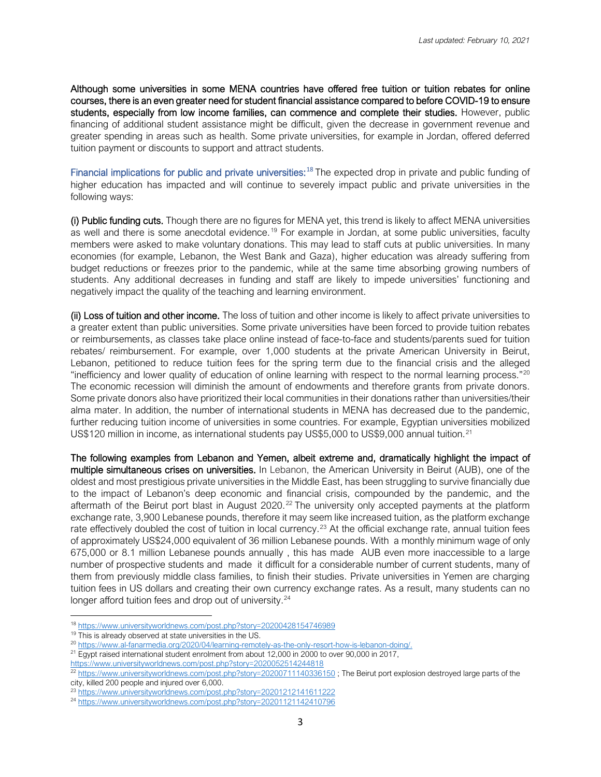Although some universities in some MENA countries have offered free tuition or tuition rebates for online courses, there is an even greater need for student financial assistance compared to before COVID-19 to ensure students, especially from low income families, can commence and complete their studies. However, public financing of additional student assistance might be difficult, given the decrease in government revenue and greater spending in areas such as health. Some private universities, for example in Jordan, offered deferred tuition payment or discounts to support and attract students.

Financial implications for public and private universities:<sup>[18](#page-2-0)</sup> The expected drop in private and public funding of higher education has impacted and will continue to severely impact public and private universities in the following ways:

(i) Public funding cuts. Though there are no figures for MENA yet, this trend is likely to affect MENA universities as well and there is some anecdotal evidence.<sup>[19](#page-2-1)</sup> For example in Jordan, at some public universities, faculty members were asked to make voluntary donations. This may lead to staff cuts at public universities. In many economies (for example, Lebanon, the West Bank and Gaza), higher education was already suffering from budget reductions or freezes prior to the pandemic, while at the same time absorbing growing numbers of students. Any additional decreases in funding and staff are likely to impede universities' functioning and negatively impact the quality of the teaching and learning environment.

(ii) Loss of tuition and other income. The loss of tuition and other income is likely to affect private universities to a greater extent than public universities. Some private universities have been forced to provide tuition rebates or reimbursements, as classes take place online instead of face-to-face and students/parents sued for tuition rebates/ reimbursement. For example, over 1,000 students at the private American University in Beirut, Lebanon, petitioned to reduce tuition fees for the spring term due to the financial crisis and the alleged "inefficiency and lower quality of education of online learning with respect to the normal learning process."[20](#page-2-2) The economic recession will diminish the amount of endowments and therefore grants from private donors. Some private donors also have prioritized their local communities in their donations rather than universities/their alma mater. In addition, the number of international students in MENA has decreased due to the pandemic, further reducing tuition income of universities in some countries. For example, Egyptian universities mobilized US\$120 million in income, as international students pay US\$5,000 to US\$9,000 annual tuition.<sup>[21](#page-2-3)</sup>

The following examples from Lebanon and Yemen, albeit extreme and, dramatically highlight the impact of multiple simultaneous crises on universities. In Lebanon, the American University in Beirut (AUB), one of the oldest and most prestigious private universities in the Middle East, has been struggling to survive financially due to the impact of Lebanon's deep economic and financial crisis, compounded by the pandemic, and the aftermath of the Beirut port blast in August 2020.<sup>[22](#page-2-4)</sup> The university only accepted payments at the platform exchange rate, 3,900 Lebanese pounds, therefore it may seem like increased tuition, as the platform exchange rate effectively doubled the cost of tuition in local currency.<sup>[23](#page-2-5)</sup> At the official exchange rate, annual tuition fees of approximately US\$24,000 equivalent of 36 million Lebanese pounds. With a monthly minimum wage of only 675,000 or 8.1 million Lebanese pounds annually , this has made AUB even more inaccessible to a large number of prospective students and made it difficult for a considerable number of current students, many of them from previously middle class families, to finish their studies. Private universities in Yemen are charging tuition fees in US dollars and creating their own currency exchange rates. As a result, many students can no longer afford tuition fees and drop out of university.<sup>[24](#page-2-6)</sup>

<span id="page-2-0"></span><sup>18</sup> <https://www.universityworldnews.com/post.php?story=20200428154746989>

<sup>&</sup>lt;sup>19</sup> This is already observed at state universities in the US.

<span id="page-2-2"></span><span id="page-2-1"></span><sup>20</sup> [https://www.al-fanarmedia.org/2020/04/learning-remotely-as-the-only-resort-how-is-lebanon-doing/.](https://www.al-fanarmedia.org/2020/04/learning-remotely-as-the-only-resort-how-is-lebanon-doing/)

<span id="page-2-3"></span><sup>&</sup>lt;sup>21</sup> Egypt raised international student enrolment from about 12,000 in 2000 to over 90,000 in 2017,

<https://www.universityworldnews.com/post.php?story=2020052514244818>

<span id="page-2-4"></span><sup>&</sup>lt;sup>22</sup> <https://www.universityworldnews.com/post.php?story=20200711140336150>; The Beirut port explosion destroyed large parts of the city, killed 200 people and injured over 6,000.

<span id="page-2-5"></span><sup>&</sup>lt;sup>23</sup> <https://www.universityworldnews.com/post.php?story=20201212141611222>

<span id="page-2-6"></span><sup>&</sup>lt;sup>24</sup> <https://www.universityworldnews.com/post.php?story=20201121142410796>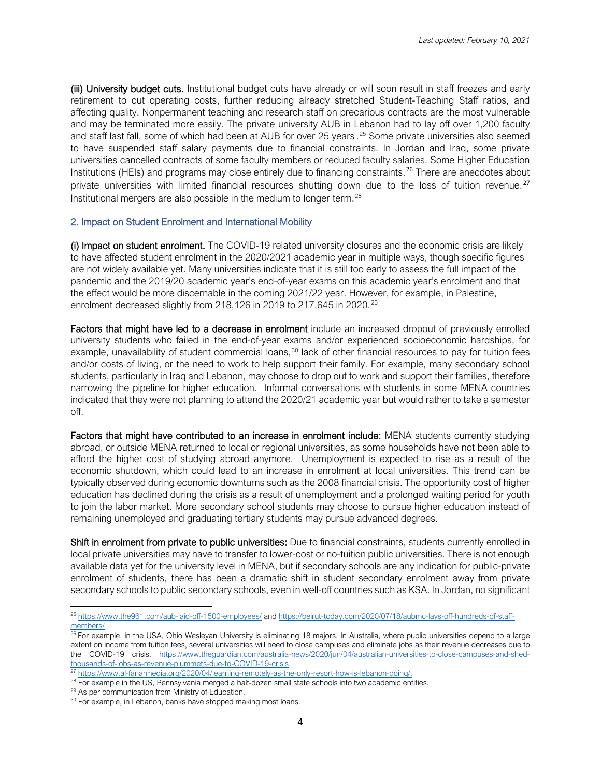(iii) University budget cuts. Institutional budget cuts have already or will soon result in staff freezes and early retirement to cut operating costs, further reducing already stretched Student-Teaching Staff ratios, and affecting quality. Nonpermanent teaching and research staff on precarious contracts are the most vulnerable and may be terminated more easily. The private university AUB in Lebanon had to lay off over 1,200 faculty and staff last fall, some of which had been at AUB for over 25 years . [25](#page-3-0) Some private universities also seemed to have suspended staff salary payments due to financial constraints. In Jordan and Iraq, some private universities cancelled contracts of some faculty members or reduced faculty salaries. Some Higher Education Institutions (HEIs) and programs may close entirely due to financing constraints.<sup>[26](#page-3-1)</sup> There are anecdotes about private universities with limited financial resources shutting down due to the loss of tuition revenue.<sup>[27](#page-3-2)</sup> Institutional mergers are also possible in the medium to longer term.[28](#page-3-3)

### 2. Impact on Student Enrolment and International Mobility

(i) Impact on student enrolment. The COVID-19 related university closures and the economic crisis are likely to have affected student enrolment in the 2020/2021 academic year in multiple ways, though specific figures are not widely available yet. Many universities indicate that it is still too early to assess the full impact of the pandemic and the 2019/20 academic year's end-of-year exams on this academic year's enrolment and that the effect would be more discernable in the coming 2021/22 year. However, for example, in Palestine, enrolment decreased slightly from 218,126 in 2019 to 217,645 in 2020.<sup>[29](#page-3-4)</sup>

Factors that might have led to a decrease in enrolment include an increased dropout of previously enrolled university students who failed in the end-of-year exams and/or experienced socioeconomic hardships, for example, unavailability of student commercial loans,<sup>[30](#page-3-5)</sup> lack of other financial resources to pay for tuition fees and/or costs of living, or the need to work to help support their family. For example, many secondary school students, particularly in Iraq and Lebanon, may choose to drop out to work and support their families, therefore narrowing the pipeline for higher education. Informal conversations with students in some MENA countries indicated that they were not planning to attend the 2020/21 academic year but would rather to take a semester off.

Factors that might have contributed to an increase in enrolment include: MENA students currently studying abroad, or outside MENA returned to local or regional universities, as some households have not been able to afford the higher cost of studying abroad anymore. Unemployment is expected to rise as a result of the economic shutdown, which could lead to an increase in enrolment at local universities. This trend can be typically observed during economic downturns such as the 2008 financial crisis. The opportunity cost of higher education has declined during the crisis as a result of unemployment and a prolonged waiting period for youth to join the labor market. More secondary school students may choose to pursue higher education instead of remaining unemployed and graduating tertiary students may pursue advanced degrees.

Shift in enrolment from private to public universities: Due to financial constraints, students currently enrolled in local private universities may have to transfer to lower-cost or no-tuition public universities. There is not enough available data yet for the university level in MENA, but if secondary schools are any indication for public-private enrolment of students, there has been a dramatic shift in student secondary enrolment away from private secondary schools to public secondary schools, even in well-off countries such as KSA. In Jordan, no significant

<span id="page-3-0"></span><sup>25</sup> <https://www.the961.com/aub-laid-off-1500-employees/> and [https://beirut-today.com/2020/07/18/aubmc-lays-off-hundreds-of-staff](https://beirut-today.com/2020/07/18/aubmc-lays-off-hundreds-of-staff-members/)[members/](https://beirut-today.com/2020/07/18/aubmc-lays-off-hundreds-of-staff-members/)

<span id="page-3-1"></span><sup>&</sup>lt;sup>26</sup> For example, in the USA, Ohio Wesleyan University is eliminating 18 majors. In Australia, where public universities depend to a large extent on income from tuition fees, several universities will need to close campuses and eliminate jobs as their revenue decreases due to the COVID-19 crisis. [https://www.theguardian.com/australia-news/2020/jun/04/australian-universities-to-close-campuses-and-shed](https://www.theguardian.com/australia-news/2020/jun/04/australian-universities-to-close-campuses-and-shed-thousands-of-jobs-as-revenue-plummets-due-to-COVID-19-crisis)[thousands-of-jobs-as-revenue-plummets-due-to-COVID-19-crisis.](https://www.theguardian.com/australia-news/2020/jun/04/australian-universities-to-close-campuses-and-shed-thousands-of-jobs-as-revenue-plummets-due-to-COVID-19-crisis)

<sup>27</sup> [https://www.al-fanarmedia.org/2020/04/learning-remotely-as-the-only-resort-how-is-lebanon-doing/.](https://www.al-fanarmedia.org/2020/04/learning-remotely-as-the-only-resort-how-is-lebanon-doing/)

<span id="page-3-4"></span><span id="page-3-3"></span><span id="page-3-2"></span> $^{28}$  For example in the US, Pennsylvania merged a half-dozen small state schools into two academic entities.<br> $^{29}$  As per communication from Ministry of Education.

<span id="page-3-5"></span><sup>&</sup>lt;sup>30</sup> For example, in Lebanon, banks have stopped making most loans.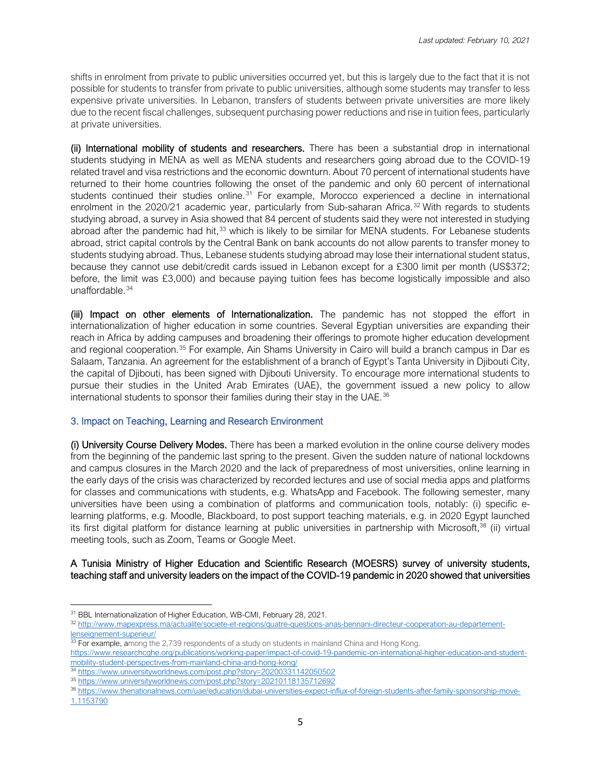shifts in enrolment from private to public universities occurred yet, but this is largely due to the fact that it is not possible for students to transfer from private to public universities, although some students may transfer to less expensive private universities. In Lebanon, transfers of students between private universities are more likely due to the recent fiscal challenges, subsequent purchasing power reductions and rise in tuition fees, particularly at private universities.

(ii) International mobility of students and researchers. There has been a substantial drop in international students studying in MENA as well as MENA students and researchers going abroad due to the COVID-19 related travel and visa restrictions and the economic downturn. About 70 percent of international students have returned to their home countries following the onset of the pandemic and only 60 percent of international students continued their studies online.<sup>[31](#page-4-0)</sup> For example, Morocco experienced a decline in international enrolment in the 2020/21 academic year, particularly from Sub-saharan Africa.<sup>[32](#page-4-1)</sup> With regards to students studying abroad, a survey in Asia showed that 84 percent of students said they were not interested in studying abroad after the pandemic had hit,<sup>[33](#page-4-2)</sup> which is likely to be similar for MENA students. For Lebanese students abroad, strict capital controls by the Central Bank on bank accounts do not allow parents to transfer money to students studying abroad. Thus, Lebanese students studying abroad may lose their international student status, because they cannot use debit/credit cards issued in Lebanon except for a £300 limit per month (US\$372; [before, the limit was £3,000\)](https://aawsat.com/english/home/article/2058786/bank-controls-exacerbate-crisis-lebanese-students-abroad) and because paying tuition fees has become logistically impossible and also unaffordable. [34](#page-4-3)

(iii) Impact on other elements of Internationalization. The pandemic has not stopped the effort in internationalization of higher education in some countries. Several Egyptian universities are expanding their reach in Africa by adding campuses and broadening their offerings to promote higher education development and regional cooperation.[35](#page-4-4) For example, Ain Shams University in Cairo will build a branch campus in Dar es Salaam, Tanzania. An agreement for the establishment of a branch of Egypt's Tanta University in Djibouti City, the capital of Djibouti, has been signed with Djibouti University. To encourage more international students to pursue their studies in the United Arab Emirates (UAE), the government issued a new policy to allow international students to sponsor their families during their stay in the UAE.<sup>[36](#page-4-5)</sup>

#### 3. Impact on Teaching, Learning and Research Environment

(i) University Course Delivery Modes. There has been a marked evolution in the online course delivery modes from the beginning of the pandemic last spring to the present. Given the sudden nature of national lockdowns and campus closures in the March 2020 and the lack of preparedness of most universities, online learning in the early days of the crisis was characterized by recorded lectures and use of social media apps and platforms for classes and communications with students, e.g. WhatsApp and Facebook. The following semester, many universities have been using a combination of platforms and communication tools, notably: (i) specific elearning platforms, e.g. Moodle, Blackboard, to post support teaching materials, e.g. in 2020 Egypt launched its first digital platform for distance learning at public universities in partnership with Microsoft,<sup>38</sup> (ii) virtual meeting tools, such as Zoom, Teams or Google Meet.

### A Tunisia Ministry of Higher Education and Scientific Research (MOESRS) survey of university students, teaching staff and university leaders on the impact of the COVID-19 pandemic in 2020 showed that universities

<span id="page-4-1"></span><span id="page-4-0"></span><sup>&</sup>lt;sup>31</sup> BBL Internationalization of Higher Education, WB-CMI, February 28, 2021.<br><sup>32</sup> [http://www.mapexpress.ma/actualite/societe-et-regions/quatre-questions-anas-bennani-directeur-cooperation-au-departement](http://www.mapexpress.ma/actualite/societe-et-regions/quatre-questions-anas-bennani-directeur-cooperation-au-departement-lenseignement-superieur/)[lenseignement-superieur/](http://www.mapexpress.ma/actualite/societe-et-regions/quatre-questions-anas-bennani-directeur-cooperation-au-departement-lenseignement-superieur/)

<span id="page-4-2"></span> $\frac{33}{33}$  For example, among the 2,739 respondents of a study on students in mainland China and Hong Kong. [https://www.researchcghe.org/publications/working-paper/impact-of-covid-19-pandemic-on-international-higher-education-and-student](https://www.researchcghe.org/publications/working-paper/impact-of-covid-19-pandemic-on-international-higher-education-and-student-mobility-student-perspectives-from-mainland-china-and-hong-kong/)[mobility-student-perspectives-from-mainland-china-and-hong-kong/](https://www.researchcghe.org/publications/working-paper/impact-of-covid-19-pandemic-on-international-higher-education-and-student-mobility-student-perspectives-from-mainland-china-and-hong-kong/)

<span id="page-4-3"></span><sup>34</sup> <https://www.universityworldnews.com/post.php?story=20200331142050502>

<span id="page-4-4"></span><sup>35</sup> <https://www.universityworldnews.com/post.php?story=20210118135712692>

<span id="page-4-5"></span><sup>36</sup> [https://www.thenationalnews.com/uae/education/dubai-universities-expect-influx-of-foreign-students-after-family-sponsorship-move-](https://www.thenationalnews.com/uae/education/dubai-universities-expect-influx-of-foreign-students-after-family-sponsorship-move-1.1153790)[1.1153790](https://www.thenationalnews.com/uae/education/dubai-universities-expect-influx-of-foreign-students-after-family-sponsorship-move-1.1153790)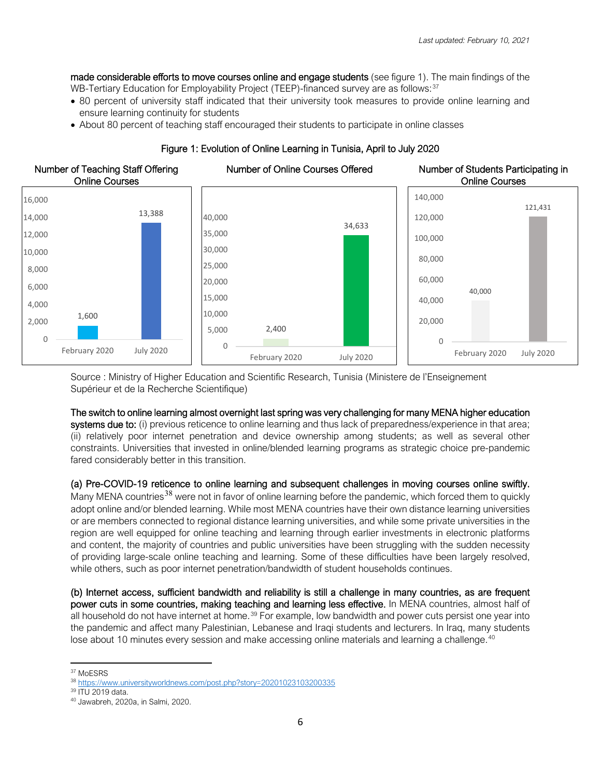made considerable efforts to move courses online and engage students (see figure 1). The main findings of the WB-Tertiary Education for Employability Project (TEEP)-financed survey are as follows:<sup>[37](#page-5-0)</sup>

- 80 percent of university staff indicated that their university took measures to provide online learning and ensure learning continuity for students
- About 80 percent of teaching staff encouraged their students to participate in online classes



# Figure 1: Evolution of Online Learning in Tunisia, April to July 2020

Source : Ministry of Higher Education and Scientific Research, Tunisia (Ministere de l'Enseignement Supérieur et de la Recherche Scientifique)

#### The switch to online learning almost overnight last spring was very challenging for many MENA higher education

systems due to: (i) previous reticence to online learning and thus lack of preparedness/experience in that area; (ii) relatively poor internet penetration and device ownership among students; as well as several other constraints. Universities that invested in online/blended learning programs as strategic choice pre-pandemic fared considerably better in this transition.

# (a) Pre-COVID-19 reticence to online learning and subsequent challenges in moving courses online swiftly.

Many MENA countries<sup>[38](#page-5-1)</sup> were not in favor of online learning before the pandemic, which forced them to quickly adopt online and/or blended learning. While most MENA countries have their own distance learning universities or are members connected to regional distance learning universities, and while some private universities in the region are well equipped for online teaching and learning through earlier investments in electronic platforms and content, the majority of countries and public universities have been struggling with the sudden necessity of providing large-scale online teaching and learning. Some of these difficulties have been largely resolved, while others, such as poor internet penetration/bandwidth of student households continues.

(b) Internet access, sufficient bandwidth and reliability is still a challenge in many countries, as are frequent power cuts in some countries, making teaching and learning less effective. In MENA countries, almost half of all household do not have internet at home.<sup>[39](#page-5-2)</sup> For example, low bandwidth and power cuts persist one year into the pandemic and affect many Palestinian, Lebanese and Iraqi students and lecturers. In Iraq, many students lose about 10 minutes every session and make accessing online materials and learning a challenge.<sup>[40](#page-5-3)</sup>

<span id="page-5-0"></span><sup>&</sup>lt;sup>37</sup> MoESRS

<span id="page-5-1"></span><sup>38</sup> <https://www.universityworldnews.com/post.php?story=20201023103200335><br><sup>39</sup> ITU 2019 data.

<span id="page-5-3"></span><span id="page-5-2"></span><sup>&</sup>lt;sup>40</sup> Jawabreh, 2020a, in Salmi, 2020.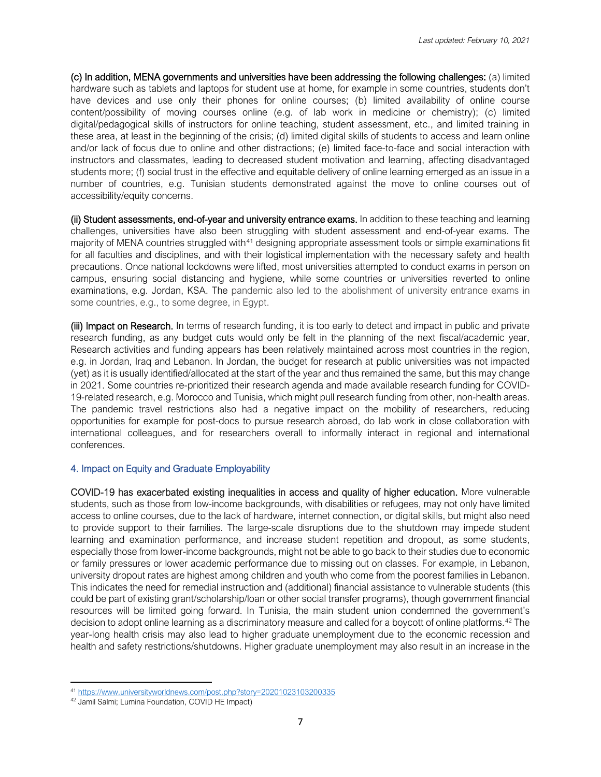(c) In addition, MENA governments and universities have been addressing the following challenges: (a) limited hardware such as tablets and laptops for student use at home, for example in some countries, students don't have devices and use only their phones for online courses; (b) limited availability of online course content/possibility of moving courses online (e.g. of lab work in medicine or chemistry); (c) limited digital/pedagogical skills of instructors for online teaching, student assessment, etc., and limited training in these area, at least in the beginning of the crisis; (d) limited digital skills of students to access and learn online and/or lack of focus due to online and other distractions; (e) limited face-to-face and social interaction with instructors and classmates, leading to decreased student motivation and learning, affecting disadvantaged students more; (f) social trust in the effective and equitable delivery of online learning emerged as an issue in a number of countries, e.g. Tunisian students demonstrated against the move to online courses out of accessibility/equity concerns.

(ii) Student assessments, end-of-year and university entrance exams. In addition to these teaching and learning challenges, universities have also been struggling with student assessment and end-of-year exams. The majority of MENA countries struggled with<sup>[41](#page-6-0)</sup> designing appropriate assessment tools or simple examinations fit for all faculties and disciplines, and with their logistical implementation with the necessary safety and health precautions. Once national lockdowns were lifted, most universities attempted to conduct exams in person on campus, ensuring social distancing and hygiene, while some countries or universities reverted to online examinations, e.g. Jordan, KSA. The pandemic also led to the abolishment of university entrance exams in some countries, e.g., to some degree, in Egypt.

(iii) Impact on Research. In terms of research funding, it is too early to detect and impact in public and private research funding, as any budget cuts would only be felt in the planning of the next fiscal/academic year. Research activities and funding appears has been relatively maintained across most countries in the region, e.g. in Jordan, Iraq and Lebanon. In Jordan, the budget for research at public universities was not impacted (yet) as it is usually identified/allocated at the start of the year and thus remained the same, but this may change in 2021. Some countries re-prioritized their research agenda and made available research funding for COVID-19-related research, e.g. Morocco and Tunisia, which might pull research funding from other, non-health areas. The pandemic travel restrictions also had a negative impact on the mobility of researchers, reducing opportunities for example for post-docs to pursue research abroad, do lab work in close collaboration with international colleagues, and for researchers overall to informally interact in regional and international conferences.

# 4. Impact on Equity and Graduate Employability

COVID-19 has exacerbated existing inequalities in access and quality of higher education. More vulnerable students, such as those from low-income backgrounds, with disabilities or refugees, may not only have limited access to online courses, due to the lack of hardware, internet connection, or digital skills, but might also need to provide support to their families. The large-scale disruptions due to the shutdown may impede student learning and examination performance, and increase student repetition and dropout, as some students, especially those from lower-income backgrounds, might not be able to go back to their studies due to economic or family pressures or lower academic performance due to missing out on classes. For example, in Lebanon, university dropout rates are highest among children and youth who come from the poorest families in Lebanon. This indicates the need for remedial instruction and (additional) financial assistance to vulnerable students (this could be part of existing grant/scholarship/loan or other social transfer programs), though government financial resources will be limited going forward. In Tunisia, the main student union condemned the government's decision to adopt online learning as a discriminatory measure and called for a boycott of online platforms.<sup>[42](#page-6-1)</sup> The year-long health crisis may also lead to higher graduate unemployment due to the economic recession and health and safety restrictions/shutdowns. Higher graduate unemployment may also result in an increase in the

<sup>41</sup> <https://www.universityworldnews.com/post.php?story=20201023103200335>

<span id="page-6-1"></span><span id="page-6-0"></span><sup>42</sup> Jamil Salmi; Lumina Foundation, COVID HE Impact)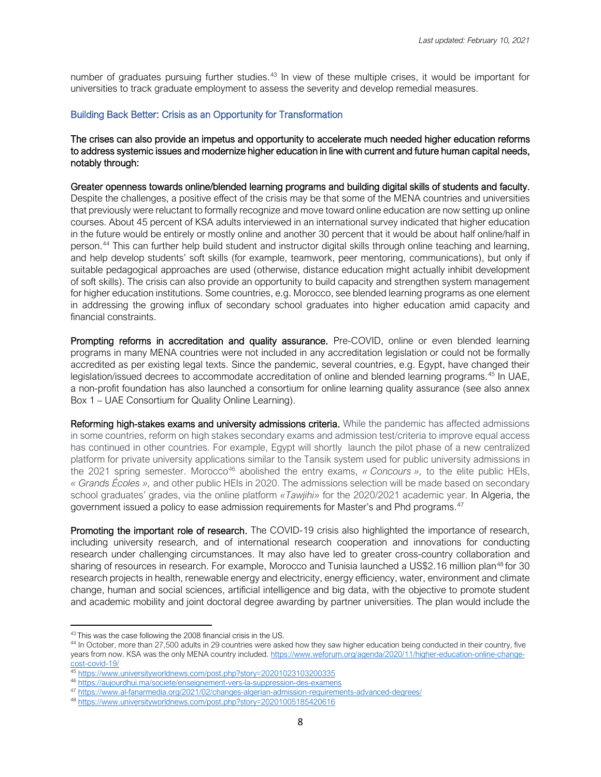number of graduates pursuing further studies.<sup>[43](#page-7-0)</sup> In view of these multiple crises, it would be important for universities to track graduate employment to assess the severity and develop remedial measures.

#### Building Back Better: Crisis as an Opportunity for Transformation

The crises can also provide an impetus and opportunity to accelerate much needed higher education reforms to address systemic issues and modernize higher education in line with current and future human capital needs, notably through:

Greater openness towards online/blended learning programs and building digital skills of students and faculty. Despite the challenges, a positive effect of the crisis may be that some of the MENA countries and universities that previously were reluctant to formally recognize and move toward online education are now setting up online courses. About 45 percent of KSA adults interviewed in an international survey indicated that higher education in the future would be entirely or mostly online and another 30 percent that it would be about half online/half in person.[44](#page-7-1) This can further help build student and instructor digital skills through online teaching and learning, and help develop students' soft skills (for example, teamwork, peer mentoring, communications), but only if suitable pedagogical approaches are used (otherwise, distance education might actually inhibit development of soft skills). The crisis can also provide an opportunity to build capacity and strengthen system management for higher education institutions. Some countries, e.g. Morocco, see blended learning programs as one element in addressing the growing influx of secondary school graduates into higher education amid capacity and financial constraints.

Prompting reforms in accreditation and quality assurance. Pre-COVID, online or even blended learning programs in many MENA countries were not included in any accreditation legislation or could not be formally accredited as per existing legal texts. Since the pandemic, several countries, e.g. Egypt, have changed their legislation/issued decrees to accommodate accreditation of online and blended learning programs.<sup>[45](#page-7-2)</sup> In UAE, a non-profit foundation has also launched a consortium for online learning quality assurance (see also annex Box 1 – UAE Consortium for Quality Online Learning).

Reforming high-stakes exams and university admissions criteria. While the pandemic has affected admissions in some countries, reform on high stakes secondary exams and admission test/criteria to improve equal access has continued in other countries. For example, Egypt will shortly launch the pilot phase of a new [centralized](https://enterprise.press/stories/2020/12/27/pilot-of-ucas-style-platform-launching-next-semester-28107/)  [platform](https://enterprise.press/stories/2020/12/27/pilot-of-ucas-style-platform-launching-next-semester-28107/) for private university applications similar to the Tansik system used for public university admissions in the 2021 spring semester. Morocco[46](#page-7-3) abolished the entry exams, *« Concours »,* to the elite public HEIs, *« Grands Écoles »,* and other public HEIs in 2020. The admissions selection will be made based on secondary school graduates' grades, via the online platform *«Tawjihi»* for the 2020/2021 academic year. In Algeria, the government issued a policy to ease admission requirements for Master's and Phd programs.<sup>[47](#page-7-4)</sup>

**Promoting the important role of research.** The COVID-19 crisis also highlighted the importance of research, including university research, and of international research cooperation and innovations for conducting research under challenging circumstances. It may also have led to greater cross-country collaboration and sharing of resources in research. For example, Morocco and Tunisia launched a US\$2.16 million plan<sup>[48](#page-7-5)</sup> for 30 research projects in health, renewable energy and electricity, energy efficiency, water, environment and climate change, human and social sciences, artificial intelligence and big data, with the objective to promote student and academic mobility and joint doctoral degree awarding by partner universities. The plan would include the

<span id="page-7-0"></span><sup>&</sup>lt;sup>43</sup> This was the case following the 2008 financial crisis in the US.

<span id="page-7-1"></span><sup>44</sup> In October, more than 27,500 adults in 29 countries were asked how they saw higher education being conducted in their country, five years from now. KSA was the only MENA country included. [https://www.weforum.org/agenda/2020/11/higher-education-online-change](https://www.weforum.org/agenda/2020/11/higher-education-online-change-cost-covid-19/)[cost-covid-19/](https://www.weforum.org/agenda/2020/11/higher-education-online-change-cost-covid-19/)

<span id="page-7-2"></span><sup>45</sup> <https://www.universityworldnews.com/post.php?story=20201023103200335>

<span id="page-7-3"></span><sup>46</sup> <https://aujourdhui.ma/societe/enseignement-vers-la-suppression-des-examens>

<span id="page-7-4"></span><sup>47</sup> <https://www.al-fanarmedia.org/2021/02/changes-algerian-admission-requirements-advanced-degrees/>

<span id="page-7-5"></span><sup>48</sup> <https://www.universityworldnews.com/post.php?story=20201005185420616>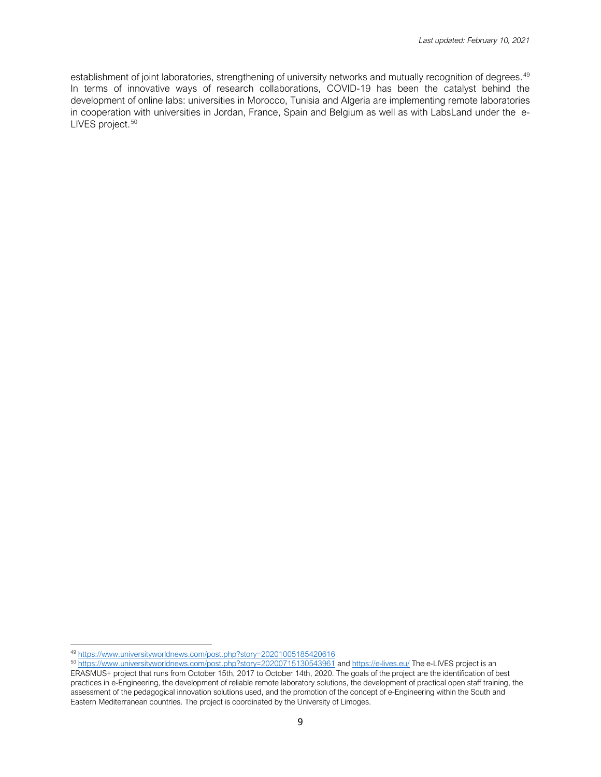establishment of joint laboratories, strengthening of university networks and mutually recognition of degrees.<sup>[49](#page-8-0)</sup> In terms of innovative ways of research collaborations, COVID-19 has been the catalyst behind the development of online labs: universities in Morocco, Tunisia and Algeria are implementing remote laboratories in cooperation with universities in Jordan, France, Spain and Belgium as well as with LabsLand under the [e-](https://e-lives.eu/)[LIVES project.](https://e-lives.eu/)<sup>50</sup> [50](#page-8-1)

<span id="page-8-1"></span><span id="page-8-0"></span><sup>49</sup> <https://www.universityworldnews.com/post.php?story=20201005185420616>

<sup>&</sup>lt;sup>50</sup> <https://www.universityworldnews.com/post.php?story=20200715130543961> and<https://e-lives.eu/> The e-LIVES project is an ERASMUS+ project that runs from October 15th, 2017 to October 14th, 2020. The goals of the project are the identification of best practices in e-Engineering, the development of reliable remote laboratory solutions, the development of practical open staff training, the assessment of the pedagogical innovation solutions used, and the promotion of the concept of e-Engineering within the South and Eastern Mediterranean countries. The project is coordinated by the University of Limoges.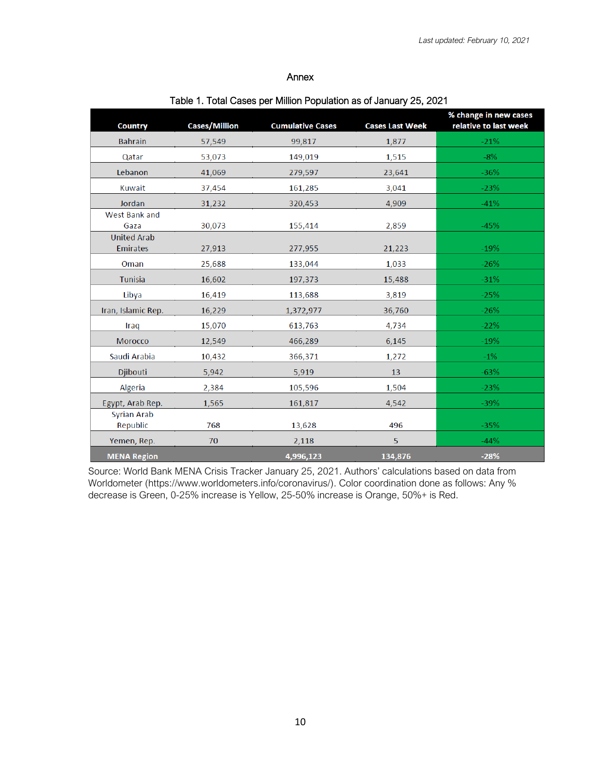#### Annex

| <b>Country</b>                        | <b>Cases/Million</b> | <b>Cumulative Cases</b> | <b>Cases Last Week</b> | % change in new cases<br>relative to last week |
|---------------------------------------|----------------------|-------------------------|------------------------|------------------------------------------------|
| <b>Bahrain</b>                        | 57,549               | 99,817                  | 1,877                  | $-21%$                                         |
| Qatar                                 | 53,073               | 149,019                 | 1,515                  | $-8%$                                          |
| Lebanon                               | 41,069               | 279,597                 | 23,641                 | $-36%$                                         |
| Kuwait                                | 37,454               | 161,285                 | 3,041                  | $-23%$                                         |
| Jordan                                | 31,232               | 320,453                 | 4,909                  | $-41%$                                         |
| West Bank and<br>Gaza                 | 30,073               | 155,414                 | 2,859                  | $-45%$                                         |
| <b>United Arab</b><br><b>Emirates</b> | 27,913               | 277,955                 | 21,223                 | $-19%$                                         |
| Oman                                  | 25,688               | 133,044                 | 1,033                  | $-26%$                                         |
| Tunisia                               | 16,602               | 197,373                 | 15,488                 | $-31%$                                         |
| Libya                                 | 16,419               | 113,688                 | 3,819                  | $-25%$                                         |
| Iran, Islamic Rep.                    | 16,229               | 1,372,977               | 36,760                 | $-26%$                                         |
| Iraq                                  | 15,070               | 613,763                 | 4,734                  | $-22%$                                         |
| Morocco                               | 12,549               | 466,289                 | 6,145                  | $-19%$                                         |
| Saudi Arabia                          | 10,432               | 366,371                 | 1,272                  | $-1\%$                                         |
| Djibouti                              | 5,942                | 5,919                   | 13                     | $-63%$                                         |
| Algeria                               | 2,384                | 105,596                 | 1,504                  | $-23%$                                         |
| Egypt, Arab Rep.<br>Syrian Arab       | 1,565                | 161,817                 | 4,542                  | $-39%$                                         |
| Republic                              | 768                  | 13,628                  | 496                    | $-35%$                                         |
| Yemen, Rep.                           | 70                   | 2,118                   | 5                      | $-44%$                                         |
| <b>MENA Region</b>                    |                      | 4,996,123               | 134,876                | $-28%$                                         |

# Table 1. Total Cases per Million Population as of January 25, 2021

 Source: World Bank MENA Crisis Tracker January 25, 2021. Authors' calculations based on data from Worldometer (https://www.worldometers.info/coronavirus/). Color coordination done as follows: Any % decrease is Green, 0-25% increase is Yellow, 25-50% increase is Orange, 50%+ is Red.